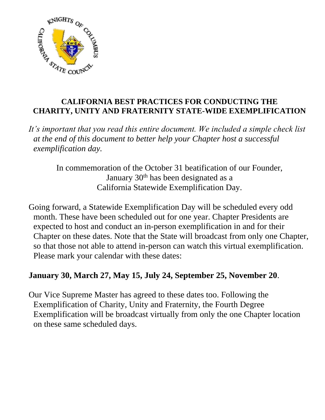

# **CALIFORNIA BEST PRACTICES FOR CONDUCTING THE CHARITY, UNITY AND FRATERNITY STATE-WIDE EXEMPLIFICATION**

*It's important that you read this entire document. We included a simple check list at the end of this document to better help your Chapter host a successful exemplification day.*

In commemoration of the October 31 beatification of our Founder, January 30<sup>th</sup> has been designated as a California Statewide Exemplification Day.

Going forward, a Statewide Exemplification Day will be scheduled every odd month. These have been scheduled out for one year. Chapter Presidents are expected to host and conduct an in-person exemplification in and for their Chapter on these dates. Note that the State will broadcast from only one Chapter, so that those not able to attend in-person can watch this virtual exemplification. Please mark your calendar with these dates:

# **January 30, March 27, May 15, July 24, September 25, November 20**.

Our Vice Supreme Master has agreed to these dates too. Following the Exemplification of Charity, Unity and Fraternity, the Fourth Degree Exemplification will be broadcast virtually from only the one Chapter location on these same scheduled days.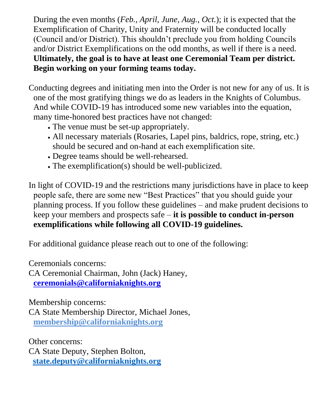During the even months (*Feb., April, June, Aug., Oct.*); it is expected that the Exemplification of Charity, Unity and Fraternity will be conducted locally (Council and/or District). This shouldn't preclude you from holding Councils and/or District Exemplifications on the odd months, as well if there is a need. **Ultimately, the goal is to have at least one Ceremonial Team per district. Begin working on your forming teams today.**

- Conducting degrees and initiating men into the Order is not new for any of us. It is one of the most gratifying things we do as leaders in the Knights of Columbus. And while COVID-19 has introduced some new variables into the equation, many time-honored best practices have not changed:
	- The venue must be set-up appropriately.
	- All necessary materials (Rosaries, Lapel pins, baldrics, rope, string, etc.) should be secured and on-hand at each exemplification site.
	- Degree teams should be well-rehearsed.
	- The exemplification(s) should be well-publicized.

In light of COVID-19 and the restrictions many jurisdictions have in place to keep people safe, there are some new "Best Practices" that you should guide your planning process. If you follow these guidelines – and make prudent decisions to keep your members and prospects safe – **it is possible to conduct in-person exemplifications while following all COVID-19 guidelines.**

For additional guidance please reach out to one of the following:

Ceremonials concerns:

CA Ceremonial Chairman, John (Jack) Haney, **[ceremonials@californiaknights.org](mailto:ceremonials@californiaknights.org)**

Membership concerns: CA State Membership Director, Michael Jones, **[membership@californiaknights.org](mailto:membership@californiaknights.org)**

Other concerns: CA State Deputy, Stephen Bolton, **[state.deputy@californiaknights.org](mailto:state.deputy@californiaknights.org)**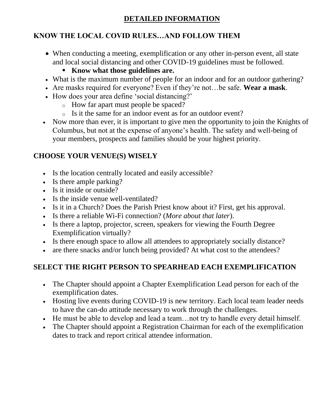### **DETAILED INFORMATION**

# **KNOW THE LOCAL COVID RULES…AND FOLLOW THEM**

- When conducting a meeting, exemplification or any other in-person event, all state and local social distancing and other COVID-19 guidelines must be followed.
	- **Know what those guidelines are.**
- What is the maximum number of people for an indoor and for an outdoor gathering?
- Are masks required for everyone? Even if they're not…be safe. **Wear a mask**.
- How does your area define 'social distancing?'
	- o How far apart must people be spaced?
	- o Is it the same for an indoor event as for an outdoor event?
- Now more than ever, it is important to give men the opportunity to join the Knights of Columbus, but not at the expense of anyone's health. The safety and well-being of your members, prospects and families should be your highest priority.

# **CHOOSE YOUR VENUE(S) WISELY**

- Is the location centrally located and easily accessible?
- Is there ample parking?
- Is it inside or outside?
- Is the inside venue well-ventilated?
- Is it in a Church? Does the Parish Priest know about it? First, get his approval.
- Is there a reliable Wi-Fi connection? (*More about that later*).
- Is there a laptop, projector, screen, speakers for viewing the Fourth Degree Exemplification virtually?
- Is there enough space to allow all attendees to appropriately socially distance?
- are there snacks and/or lunch being provided? At what cost to the attendees?

# **SELECT THE RIGHT PERSON TO SPEARHEAD EACH EXEMPLIFICATION**

- The Chapter should appoint a Chapter Exemplification Lead person for each of the exemplification dates.
- Hosting live events during COVID-19 is new territory. Each local team leader needs to have the can-do attitude necessary to work through the challenges.
- He must be able to develop and lead a team... not try to handle every detail himself.
- The Chapter should appoint a Registration Chairman for each of the exemplification dates to track and report critical attendee information.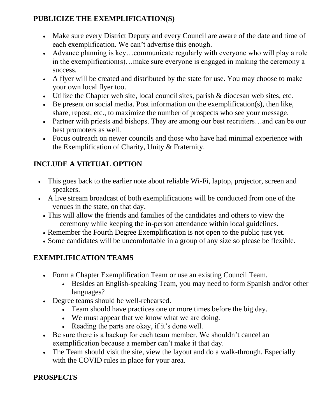### **PUBLICIZE THE EXEMPLIFICATION(S)**

- Make sure every District Deputy and every Council are aware of the date and time of each exemplification. We can't advertise this enough.
- Advance planning is key...communicate regularly with everyone who will play a role in the exemplification(s)…make sure everyone is engaged in making the ceremony a success.
- A flyer will be created and distributed by the state for use. You may choose to make your own local flyer too.
- Utilize the Chapter web site, local council sites, parish & diocesan web sites, etc.
- Be present on social media. Post information on the exemplification(s), then like, share, repost, etc., to maximize the number of prospects who see your message.
- Partner with priests and bishops. They are among our best recruiters...and can be our best promoters as well.
- Focus outreach on newer councils and those who have had minimal experience with the Exemplification of Charity, Unity & Fraternity.

# **INCLUDE A VIRTUAL OPTION**

- This goes back to the earlier note about reliable Wi-Fi, laptop, projector, screen and speakers.
- A live stream broadcast of both exemplifications will be conducted from one of the venues in the state, on that day.
	- This will allow the friends and families of the candidates and others to view the ceremony while keeping the in-person attendance within local guidelines.
	- Remember the Fourth Degree Exemplification is not open to the public just yet.
	- Some candidates will be uncomfortable in a group of any size so please be flexible.

#### **EXEMPLIFICATION TEAMS**

- Form a Chapter Exemplification Team or use an existing Council Team.
	- Besides an English-speaking Team, you may need to form Spanish and/or other languages?
- Degree teams should be well-rehearsed.
	- Team should have practices one or more times before the big day.
	- We must appear that we know what we are doing.
	- Reading the parts are okay, if it's done well.
- Be sure there is a backup for each team member. We shouldn't cancel an exemplification because a member can't make it that day.
- The Team should visit the site, view the layout and do a walk-through. Especially with the COVID rules in place for your area.

# **PROSPECTS**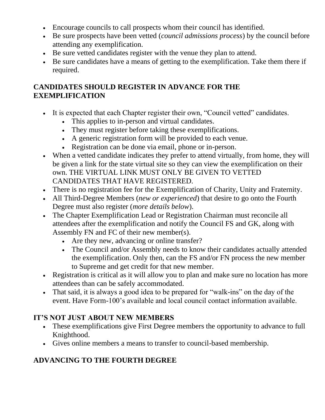- Encourage councils to call prospects whom their council has identified.
- Be sure prospects have been vetted (*council admissions process*) by the council before attending any exemplification.
- Be sure vetted candidates register with the venue they plan to attend.
- Be sure candidates have a means of getting to the exemplification. Take them there if required.

### **CANDIDATES SHOULD REGISTER IN ADVANCE FOR THE EXEMPLIFICATION**

- It is expected that each Chapter register their own, "Council vetted" candidates.
	- This applies to in-person and virtual candidates.
	- They must register before taking these exemplifications.
	- A generic registration form will be provided to each venue.
	- Registration can be done via email, phone or in-person.
- When a vetted candidate indicates they prefer to attend virtually, from home, they will be given a link for the state virtual site so they can view the exemplification on their own. THE VIRTUAL LINK MUST ONLY BE GIVEN TO VETTED CANDIDATES THAT HAVE REGISTERED.
- There is no registration fee for the Exemplification of Charity, Unity and Fraternity.
- All Third-Degree Members (*new or experienced*) that desire to go onto the Fourth Degree must also register (*more details below*).
- The Chapter Exemplification Lead or Registration Chairman must reconcile all attendees after the exemplification and notify the Council FS and GK, along with Assembly FN and FC of their new member(s).
	- Are they new, advancing or online transfer?
	- The Council and/or Assembly needs to know their candidates actually attended the exemplification. Only then, can the FS and/or FN process the new member to Supreme and get credit for that new member.
- Registration is critical as it will allow you to plan and make sure no location has more attendees than can be safely accommodated.
- That said, it is always a good idea to be prepared for "walk-ins" on the day of the event. Have Form-100's available and local council contact information available.

# **IT'S NOT JUST ABOUT NEW MEMBERS**

- These exemplifications give First Degree members the opportunity to advance to full Knighthood.
- Gives online members a means to transfer to council-based membership.

# **ADVANCING TO THE FOURTH DEGREE**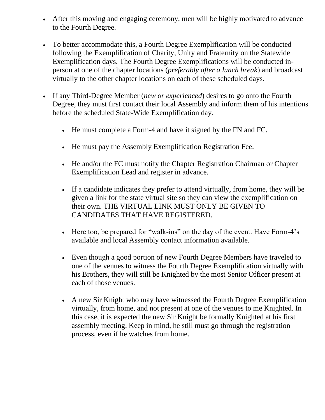- After this moving and engaging ceremony, men will be highly motivated to advance to the Fourth Degree.
- To better accommodate this, a Fourth Degree Exemplification will be conducted following the Exemplification of Charity, Unity and Fraternity on the Statewide Exemplification days. The Fourth Degree Exemplifications will be conducted inperson at one of the chapter locations (*preferably after a lunch break*) and broadcast virtually to the other chapter locations on each of these scheduled days.
- If any Third-Degree Member (*new or experienced*) desires to go onto the Fourth Degree, they must first contact their local Assembly and inform them of his intentions before the scheduled State-Wide Exemplification day.
	- He must complete a Form-4 and have it signed by the FN and FC.
	- He must pay the Assembly Exemplification Registration Fee.
	- He and/or the FC must notify the Chapter Registration Chairman or Chapter Exemplification Lead and register in advance.
	- If a candidate indicates they prefer to attend virtually, from home, they will be given a link for the state virtual site so they can view the exemplification on their own. THE VIRTUAL LINK MUST ONLY BE GIVEN TO CANDIDATES THAT HAVE REGISTERED.
	- Here too, be prepared for "walk-ins" on the day of the event. Have Form-4's available and local Assembly contact information available.
	- Even though a good portion of new Fourth Degree Members have traveled to one of the venues to witness the Fourth Degree Exemplification virtually with his Brothers, they will still be Knighted by the most Senior Officer present at each of those venues.
	- A new Sir Knight who may have witnessed the Fourth Degree Exemplification virtually, from home, and not present at one of the venues to me Knighted. In this case, it is expected the new Sir Knight be formally Knighted at his first assembly meeting. Keep in mind, he still must go through the registration process, even if he watches from home.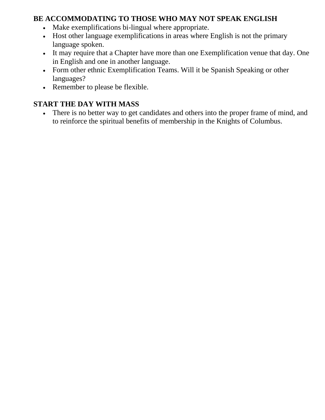#### **BE ACCOMMODATING TO THOSE WHO MAY NOT SPEAK ENGLISH**

- Make exemplifications bi-lingual where appropriate.
- Host other language exemplifications in areas where English is not the primary language spoken.
- It may require that a Chapter have more than one Exemplification venue that day. One in English and one in another language.
- Form other ethnic Exemplification Teams. Will it be Spanish Speaking or other languages?
- Remember to please be flexible.

### **START THE DAY WITH MASS**

• There is no better way to get candidates and others into the proper frame of mind, and to reinforce the spiritual benefits of membership in the Knights of Columbus.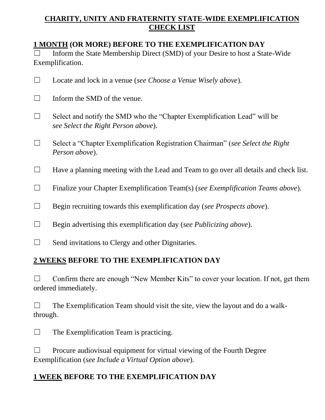#### **CHARITY, UNITY AND FRATERNITY STATE-WIDE EXEMPLIFICATION CHECK LIST**

#### **1 MONTH (OR MORE) BEFORE TO THE EXEMPLIFICATION DAY**

□ Inform the State Membership Direct (SMD) of your Desire to host a State-Wide Exemplification.

| Locate and lock in a venue (see Choose a Venue Wisely above).                                                   |
|-----------------------------------------------------------------------------------------------------------------|
| Inform the SMD of the venue.                                                                                    |
| Select and notify the SMD who the "Chapter Exemplification Lead" will be<br>see Select the Right Person above). |
| Select a "Chapter Exemplification Registration Chairman" (see Select the Right<br>Person above).                |
| Have a planning meeting with the Lead and Team to go over all details and check list.                           |
| Finalize your Chapter Exemplification Team(s) (see Exemplification Teams above).                                |
| Begin recruiting towards this exemplification day (see Prospects above).                                        |
| Begin advertising this exemplification day (see Publicizing above).                                             |

 $\Box$  Send invitations to Clergy and other Dignitaries.

# **2 WEEKS BEFORE TO THE EXEMPLIFICATION DAY**

 $\Box$  Confirm there are enough "New Member Kits" to cover your location. If not, get them ordered immediately.

|          | The Exemplification Team should visit the site, view the layout and do a walk- |
|----------|--------------------------------------------------------------------------------|
| through. |                                                                                |

| $\Box$ | The Exemplification Team is practicing. |  |
|--------|-----------------------------------------|--|
|--------|-----------------------------------------|--|

 $\Box$  Procure audiovisual equipment for virtual viewing of the Fourth Degree Exemplification (*see Include a Virtual Option above*).

# **1 WEEK BEFORE TO THE EXEMPLIFICATION DAY**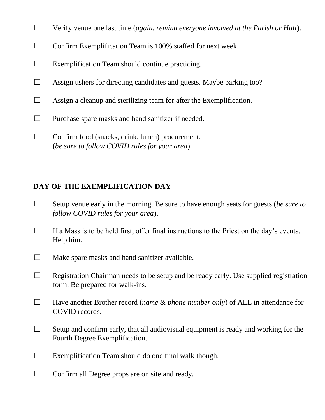- ☐ Verify venue one last time (*again, remind everyone involved at the Parish or Hall*).
- □ Confirm Exemplification Team is 100% staffed for next week.
- $\Box$  Exemplification Team should continue practicing.
- $\Box$  Assign ushers for directing candidates and guests. Maybe parking too?
- $\Box$  Assign a cleanup and sterilizing team for after the Exemplification.
- ☐ Purchase spare masks and hand sanitizer if needed.
- $\Box$  Confirm food (snacks, drink, lunch) procurement. (*be sure to follow COVID rules for your area*).

#### **DAY OF THE EXEMPLIFICATION DAY**

- ☐ Setup venue early in the morning. Be sure to have enough seats for guests (*be sure to follow COVID rules for your area*).
- $\Box$  If a Mass is to be held first, offer final instructions to the Priest on the day's events. Help him.
- $\Box$  Make spare masks and hand sanitizer available.
- $\Box$  Registration Chairman needs to be setup and be ready early. Use supplied registration form. Be prepared for walk-ins.
- ☐ Have another Brother record (*name & phone number only*) of ALL in attendance for COVID records.
- $\Box$  Setup and confirm early, that all audiovisual equipment is ready and working for the Fourth Degree Exemplification.
- $\Box$  Exemplification Team should do one final walk though.
- $\Box$  Confirm all Degree props are on site and ready.